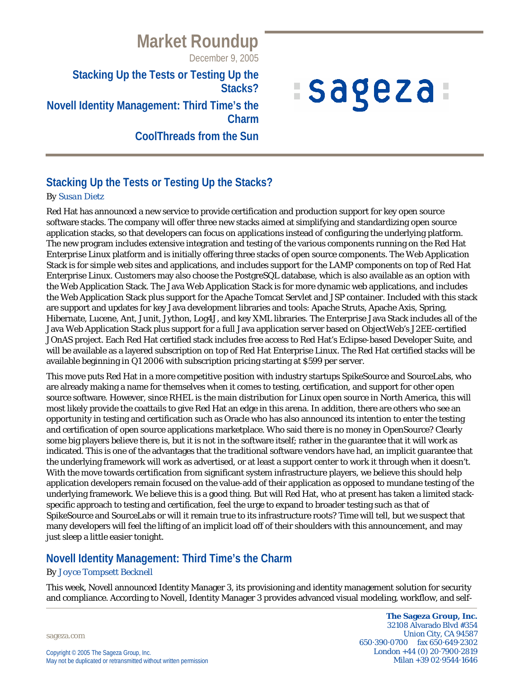December 9, 2005

#### **Stacking Up the Tests or Testing Up the Stacks?**

# **Novell Identity Management: Third Time's the Charm**

**CoolThreads from the Sun**

# *Isageza*

# **Stacking Up the Tests or Testing Up the Stacks?**

#### *By Susan Dietz*

Red Hat has announced a new service to provide certification and production support for key open source software stacks. The company will offer three new stacks aimed at simplifying and standardizing open source application stacks, so that developers can focus on applications instead of configuring the underlying platform. The new program includes extensive integration and testing of the various components running on the Red Hat Enterprise Linux platform and is initially offering three stacks of open source components. The Web Application Stack is for simple web sites and applications, and includes support for the LAMP components on top of Red Hat Enterprise Linux. Customers may also choose the PostgreSQL database, which is also available as an option with the Web Application Stack. The Java Web Application Stack is for more dynamic web applications, and includes the Web Application Stack plus support for the Apache Tomcat Servlet and JSP container. Included with this stack are support and updates for key Java development libraries and tools: Apache Struts, Apache Axis, Spring, Hibernate, Lucene, Ant, Junit, Jython, Log4J, and key XML libraries. The Enterprise Java Stack includes all of the Java Web Application Stack plus support for a full Java application server based on ObjectWeb's J2EE-certified JOnAS project. Each Red Hat certified stack includes free access to Red Hat's Eclipse-based Developer Suite, and will be available as a layered subscription on top of Red Hat Enterprise Linux. The Red Hat certified stacks will be available beginning in Q1 2006 with subscription pricing starting at \$599 per server.

This move puts Red Hat in a more competitive position with industry startups SpikeSource and SourceLabs, who are already making a name for themselves when it comes to testing, certification, and support for other open source software. However, since RHEL is the main distribution for Linux open source in North America, this will most likely provide the coattails to give Red Hat an edge in this arena. In addition, there are others who see an opportunity in testing and certification such as Oracle who has also announced its intention to enter the testing and certification of open source applications marketplace. Who said there is no money in OpenSource? Clearly some big players believe there is, but it is not in the software itself; rather in the guarantee that it will work as indicated. This is one of the advantages that the traditional software vendors have had, an implicit guarantee that the underlying framework will work as advertised, or at least a support center to work it through when it doesn't. With the move towards certification from significant system infrastructure players, we believe this should help application developers remain focused on the value-add of their application as opposed to mundane testing of the underlying framework. We believe this is a good thing. But will Red Hat, who at present has taken a limited stackspecific approach to testing and certification, feel the urge to expand to broader testing such as that of SpikeSource and SourceLabs or will it remain true to its infrastructure roots? Time will tell, but we suspect that many developers will feel the lifting of an implicit load off of their shoulders with this announcement, and may just sleep a little easier tonight.

## **Novell Identity Management: Third Time's the Charm**

#### *By Joyce Tompsett Becknell*

This week, Novell announced Identity Manager 3, its provisioning and identity management solution for security and compliance. According to Novell, Identity Manager 3 provides advanced visual modeling, workflow, and self-

sageza.com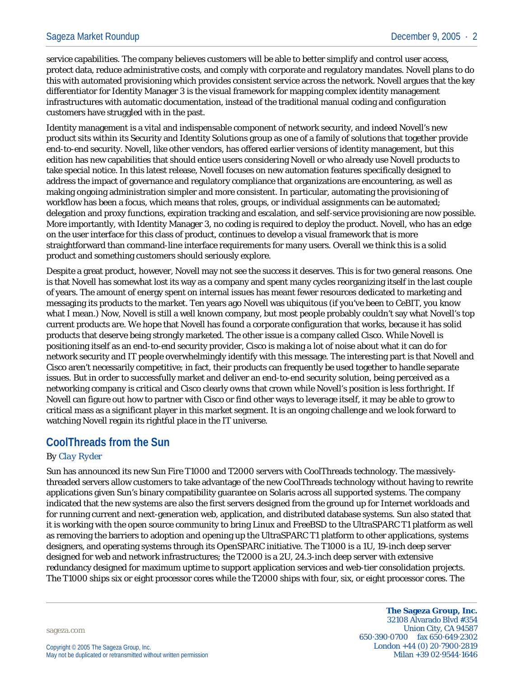service capabilities. The company believes customers will be able to better simplify and control user access, protect data, reduce administrative costs, and comply with corporate and regulatory mandates. Novell plans to do this with automated provisioning which provides consistent service across the network. Novell argues that the key differentiator for Identity Manager 3 is the visual framework for mapping complex identity management infrastructures with automatic documentation, instead of the traditional manual coding and configuration customers have struggled with in the past.

Identity management is a vital and indispensable component of network security, and indeed Novell's new product sits within its Security and Identity Solutions group as one of a family of solutions that together provide end-to-end security. Novell, like other vendors, has offered earlier versions of identity management, but this edition has new capabilities that should entice users considering Novell or who already use Novell products to take special notice. In this latest release, Novell focuses on new automation features specifically designed to address the impact of governance and regulatory compliance that organizations are encountering, as well as making ongoing administration simpler and more consistent. In particular, automating the provisioning of workflow has been a focus, which means that roles, groups, or individual assignments can be automated; delegation and proxy functions, expiration tracking and escalation, and self-service provisioning are now possible. More importantly, with Identity Manager 3, no coding is required to deploy the product. Novell, who has an edge on the user interface for this class of product, continues to develop a visual framework that is more straightforward than command-line interface requirements for many users. Overall we think this is a solid product and something customers should seriously explore.

Despite a great product, however, Novell may not see the success it deserves. This is for two general reasons. One is that Novell has somewhat lost its way as a company and spent many cycles reorganizing itself in the last couple of years. The amount of energy spent on internal issues has meant fewer resources dedicated to marketing and messaging its products to the market. Ten years ago Novell was ubiquitous (if you've been to CeBIT, you know what I mean.) Now, Novell is still a well known company, but most people probably couldn't say what Novell's top current products are. We hope that Novell has found a corporate configuration that works, because it has solid products that deserve being strongly marketed. The other issue is a company called Cisco. While Novell is positioning itself as an end-to-end security provider, Cisco is making a lot of noise about what it can do for network security and IT people overwhelmingly identify with this message. The interesting part is that Novell and Cisco aren't necessarily competitive; in fact, their products can frequently be used together to handle separate issues. But in order to successfully market and deliver an end-to-end security solution, being perceived as a networking company is critical and Cisco clearly owns that crown while Novell's position is less forthright. If Novell can figure out how to partner with Cisco or find other ways to leverage itself, it may be able to grow to critical mass as a significant player in this market segment. It is an ongoing challenge and we look forward to watching Novell regain its rightful place in the IT universe.

## **CoolThreads from the Sun**

#### *By Clay Ryder*

Sun has announced its new Sun Fire T1000 and T2000 servers with CoolThreads technology. The massivelythreaded servers allow customers to take advantage of the new CoolThreads technology without having to rewrite applications given Sun's binary compatibility guarantee on Solaris across all supported systems. The company indicated that the new systems are also the first servers designed from the ground up for Internet workloads and for running current and next-generation web, application, and distributed database systems. Sun also stated that it is working with the open source community to bring Linux and FreeBSD to the UltraSPARC T1 platform as well as removing the barriers to adoption and opening up the UltraSPARC T1 platform to other applications, systems designers, and operating systems through its OpenSPARC initiative. The T1000 is a 1U, 19-inch deep server designed for web and network infrastructures; the T2000 is a 2U, 24.3-inch deep server with extensive redundancy designed for maximum uptime to support application services and web-tier consolidation projects. The T1000 ships six or eight processor cores while the T2000 ships with four, six, or eight processor cores. The

sageza.com

**The Sageza Group, Inc.** 32108 Alvarado Blvd #354 Union City, CA 94587 650·390·0700 fax 650·649·2302 London +44 (0) 20·7900·2819 Milan +39 02·9544·1646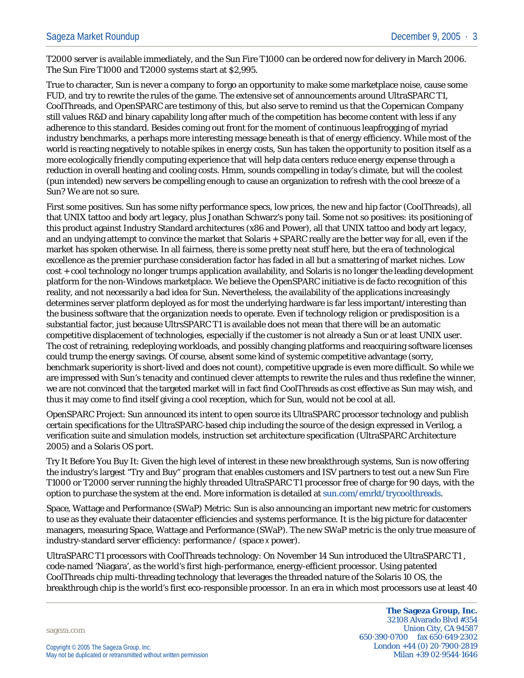T2000 server is available immediately, and the Sun Fire T1000 can be ordered now for delivery in March 2006. The Sun Fire T1000 and T2000 systems start at \$2,995.

True to character, Sun is never a company to forgo an opportunity to make some marketplace noise, cause some FUD, and try to rewrite the rules of the game. The extensive set of announcements around UltraSPARC T1, CoolThreads, and OpenSPARC are testimony of this, but also serve to remind us that the Copernican Company still values R&D and binary capability long after much of the competition has become content with less if any adherence to this standard. Besides coming out front for the moment of continuous leapfrogging of myriad industry benchmarks, a perhaps more interesting message beneath is that of energy efficiency. While most of the world is reacting negatively to notable spikes in energy costs, Sun has taken the opportunity to position itself as a more ecologically friendly computing experience that will help data centers reduce energy expense through a reduction in overall heating and cooling costs. Hmm, sounds compelling in today's climate, but will the coolest (pun intended) new servers be compelling enough to cause an organization to refresh with the cool breeze of a Sun? We are not so sure.

First some positives. Sun has some nifty performance specs, low prices, the new and hip factor (CoolThreads), all that UNIX tattoo and body art legacy, plus Jonathan Schwarz's pony tail. Some not so positives: its positioning of this product against Industry Standard architectures (x86 and Power), all that UNIX tattoo and body art legacy, and an undying attempt to convince the market that Solaris + SPARC really are the better way for all, even if the market has spoken otherwise. In all fairness, there is some pretty neat stuff here, but the era of technological excellence as the premier purchase consideration factor has faded in all but a smattering of market niches. Low cost + cool technology no longer trumps application availability, and Solaris is no longer the leading development platform for the non-Windows marketplace. We believe the OpenSPARC initiative is de facto recognition of this reality, and not necessarily a bad idea for Sun. Nevertheless, the availability of the applications increasingly determines server platform deployed as for most the underlying hardware is far less important/interesting than the business software that the organization needs to operate. Even if technology religion or predisposition is a substantial factor, just because UltrsSPARC T1 is available does not mean that there will be an automatic competitive displacement of technologies, especially if the customer is not already a Sun or at least UNIX user. The cost of retraining, redeploying workloads, and possibly changing platforms and reacquiring software licenses could trump the energy savings. Of course, absent some kind of systemic competitive advantage (sorry, benchmark superiority is short-lived and does not count), competitive upgrade is even more difficult. So while we are impressed with Sun's tenacity and continued clever attempts to rewrite the rules and thus redefine the winner, we are not convinced that the targeted market will in fact find CoolThreads as cost effective as Sun may wish, and thus it may come to find itself giving a cool reception, which for Sun, would not be cool at all.

OpenSPARC Project: Sun announced its intent to open source its UltraSPARC processor technology and publish certain specifications for the UltraSPARC-based chip including the source of the design expressed in Verilog, a verification suite and simulation models, instruction set architecture specification (UltraSPARC Architecture 2005) and a Solaris OS port.

Try It Before You Buy It: Given the high level of interest in these new breakthrough systems, Sun is now offering the industry's largest "Try and Buy" program that enables customers and ISV partners to test out a new Sun Fire T1000 or T2000 server running the highly threaded UltraSPARC T1 processor free of charge for 90 days, with the option to purchase the system at the end. More information is detailed at sun.com/emrkt/trycoolthreads.

Space, Wattage and Performance (SWaP) Metric: Sun is also announcing an important new metric for customers to use as they evaluate their datacenter efficiencies and systems performance. It is the big picture for datacenter managers, measuring Space, Wattage and Performance (SWaP). The new SWaP metric is the only true measure of industry-standard server efficiency: performance / (space x power).

UltraSPARC T1 processors with CoolThreads technology: On November 14 Sun introduced the UltraSPARC T1 , code-named 'Niagara', as the world's first high-performance, energy-efficient processor. Using patented CoolThreads chip multi-threading technology that leverages the threaded nature of the Solaris 10 OS, the breakthrough chip is the world's first eco-responsible processor. In an era in which most processors use at least 40

sageza.com

**The Sageza Group, Inc.** 32108 Alvarado Blvd #354 Union City, CA 94587 650·390·0700 fax 650·649·2302 London +44 (0) 20·7900·2819 Milan +39 02·9544·1646